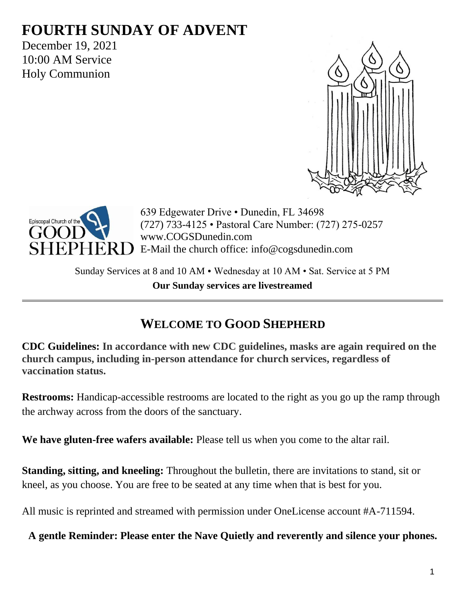# **FOURTH SUNDAY OF ADVENT**

December 19, 2021 10:00 AM Service Holy Communion





639 Edgewater Drive • Dunedin, FL 34698 (727) 733-4125 • Pastoral Care Number: (727) 275-0257 www.COGSDunedin.com E-Mail the church office: info@cogsdunedin.com

Sunday Services at 8 and 10 AM • Wednesday at 10 AM • Sat. Service at 5 PM **Our Sunday services are livestreamed**

# **WELCOME TO GOOD SHEPHERD**

**CDC Guidelines: In accordance with new CDC guidelines, masks are again required on the church campus, including in-person attendance for church services, regardless of vaccination status.**

**Restrooms:** Handicap-accessible restrooms are located to the right as you go up the ramp through the archway across from the doors of the sanctuary.

**We have gluten-free wafers available:** Please tell us when you come to the altar rail.

**Standing, sitting, and kneeling:** Throughout the bulletin, there are invitations to stand, sit or kneel, as you choose. You are free to be seated at any time when that is best for you.

All music is reprinted and streamed with permission under OneLicense account #A-711594.

**A gentle Reminder: Please enter the Nave Quietly and reverently and silence your phones.**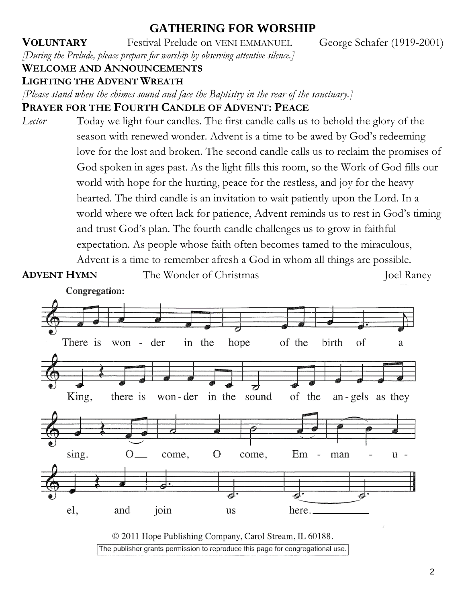# **GATHERING FOR WORSHIP**

**VOLUNTARY** Festival Prelude on VENI EMMANUEL George Schafer (1919-2001) *[During the Prelude, please prepare for worship by observing attentive silence.]*

# **WELCOME AND ANNOUNCEMENTS**

**LIGHTING THE ADVENT WREATH**

*[Please stand when the chimes sound and face the Baptistry in the rear of the sanctuary.]*

**PRAYER FOR THE FOURTH CANDLE OF ADVENT: PEACE**

*Lector* Today we light four candles. The first candle calls us to behold the glory of the season with renewed wonder. Advent is a time to be awed by God's redeeming love for the lost and broken. The second candle calls us to reclaim the promises of God spoken in ages past. As the light fills this room, so the Work of God fills our world with hope for the hurting, peace for the restless, and joy for the heavy hearted. The third candle is an invitation to wait patiently upon the Lord. In a world where we often lack for patience, Advent reminds us to rest in God's timing and trust God's plan. The fourth candle challenges us to grow in faithful expectation. As people whose faith often becomes tamed to the miraculous, Advent is a time to remember afresh a God in whom all things are possible.

#### **ADVENT HYMN** The Wonder of Christmas Joel Raney



The publisher grants permission to reproduce this page for congregational use.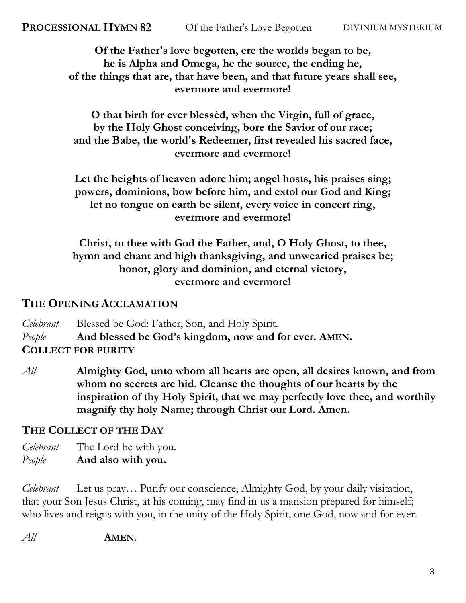**Of the Father's love begotten, ere the worlds began to be, he is Alpha and Omega, he the source, the ending he, of the things that are, that have been, and that future years shall see, evermore and evermore!**

**O that birth for ever blessèd, when the Virgin, full of grace, by the Holy Ghost conceiving, bore the Savior of our race; and the Babe, the world's Redeemer, first revealed his sacred face, evermore and evermore!**

**Let the heights of heaven adore him; angel hosts, his praises sing; powers, dominions, bow before him, and extol our God and King; let no tongue on earth be silent, every voice in concert ring, evermore and evermore!**

**Christ, to thee with God the Father, and, O Holy Ghost, to thee, hymn and chant and high thanksgiving, and unwearied praises be; honor, glory and dominion, and eternal victory, evermore and evermore!**

#### **THE OPENING ACCLAMATION**

*Celebrant* Blessed be God: Father, Son, and Holy Spirit.

*People* **And blessed be God's kingdom, now and for ever. AMEN.**

**COLLECT FOR PURITY**

*All* **Almighty God, unto whom all hearts are open, all desires known, and from whom no secrets are hid. Cleanse the thoughts of our hearts by the inspiration of thy Holy Spirit, that we may perfectly love thee, and worthily magnify thy holy Name; through Christ our Lord. Amen.**

#### **THE COLLECT OF THE DAY**

*Celebrant* The Lord be with you. *People* **And also with you.**

*Celebrant* Let us pray… Purify our conscience, Almighty God, by your daily visitation, that your Son Jesus Christ, at his coming, may find in us a mansion prepared for himself; who lives and reigns with you, in the unity of the Holy Spirit, one God, now and for ever.

*All* **AMEN**.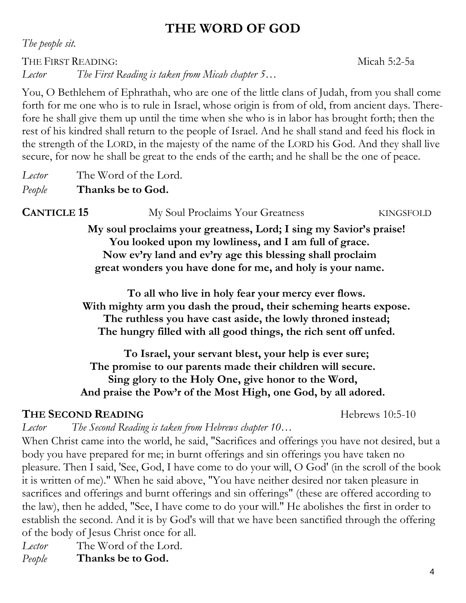# **THE WORD OF GOD**

*The people sit.*

THE FIRST READING: Micah 5:2-5a *Lector The First Reading is taken from Micah chapter 5…*

You, O Bethlehem of Ephrathah, who are one of the little clans of Judah, from you shall come forth for me one who is to rule in Israel, whose origin is from of old, from ancient days. Therefore he shall give them up until the time when she who is in labor has brought forth; then the rest of his kindred shall return to the people of Israel. And he shall stand and feed his flock in the strength of the LORD, in the majesty of the name of the LORD his God. And they shall live secure, for now he shall be great to the ends of the earth; and he shall be the one of peace.

*Lector* The Word of the Lord. *People* **Thanks be to God.**

**CANTICLE 15** My Soul Proclaims Your GreatnessKINGSFOLD

**My soul proclaims your greatness, Lord; I sing my Savior's praise! You looked upon my lowliness, and I am full of grace. Now ev'ry land and ev'ry age this blessing shall proclaim great wonders you have done for me, and holy is your name.** 

**To all who live in holy fear your mercy ever flows. With mighty arm you dash the proud, their scheming hearts expose. The ruthless you have cast aside, the lowly throned instead; The hungry filled with all good things, the rich sent off unfed.**

**To Israel, your servant blest, your help is ever sure; The promise to our parents made their children will secure. Sing glory to the Holy One, give honor to the Word, And praise the Pow'r of the Most High, one God, by all adored.**

#### **THE SECOND READING** Hebrews 10:5-10

*Lector The Second Reading is taken from Hebrews chapter 10…*

When Christ came into the world, he said, "Sacrifices and offerings you have not desired, but a body you have prepared for me; in burnt offerings and sin offerings you have taken no pleasure. Then I said, 'See, God, I have come to do your will, O God' (in the scroll of the book it is written of me)." When he said above, "You have neither desired nor taken pleasure in sacrifices and offerings and burnt offerings and sin offerings" (these are offered according to the law), then he added, "See, I have come to do your will." He abolishes the first in order to establish the second. And it is by God's will that we have been sanctified through the offering of the body of Jesus Christ once for all.

*Lector* The Word of the Lord. *People* **Thanks be to God.**

4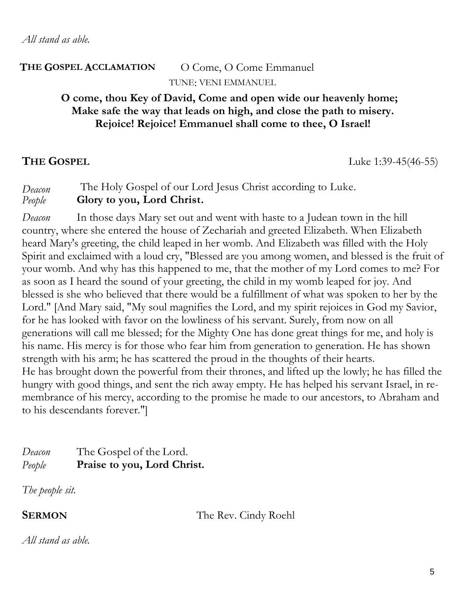**THE GOSPEL ACCLAMATION** O Come, O Come Emmanuel TUNE: VENI EMMANUEL

#### **O come, thou Key of David, Come and open wide our heavenly home; Make safe the way that leads on high, and close the path to misery. Rejoice! Rejoice! Emmanuel shall come to thee, O Israel!**

**THE GOSPEL** Luke 1:39-45(46-55)

## *Deacon* The Holy Gospel of our Lord Jesus Christ according to Luke. *People* **Glory to you, Lord Christ.**

*Deacon* In those days Mary set out and went with haste to a Judean town in the hill country, where she entered the house of Zechariah and greeted Elizabeth. When Elizabeth heard Mary's greeting, the child leaped in her womb. And Elizabeth was filled with the Holy Spirit and exclaimed with a loud cry, "Blessed are you among women, and blessed is the fruit of your womb. And why has this happened to me, that the mother of my Lord comes to me? For as soon as I heard the sound of your greeting, the child in my womb leaped for joy. And blessed is she who believed that there would be a fulfillment of what was spoken to her by the Lord." [And Mary said, "My soul magnifies the Lord, and my spirit rejoices in God my Savior, for he has looked with favor on the lowliness of his servant. Surely, from now on all generations will call me blessed; for the Mighty One has done great things for me, and holy is his name. His mercy is for those who fear him from generation to generation. He has shown strength with his arm; he has scattered the proud in the thoughts of their hearts. He has brought down the powerful from their thrones, and lifted up the lowly; he has filled the hungry with good things, and sent the rich away empty. He has helped his servant Israel, in remembrance of his mercy, according to the promise he made to our ancestors, to Abraham and to his descendants forever."]

# *Deacon* The Gospel of the Lord. *People* **Praise to you, Lord Christ.**

*The people sit.*

**SERMON** The Rev. Cindy Roehl

*All stand as able.*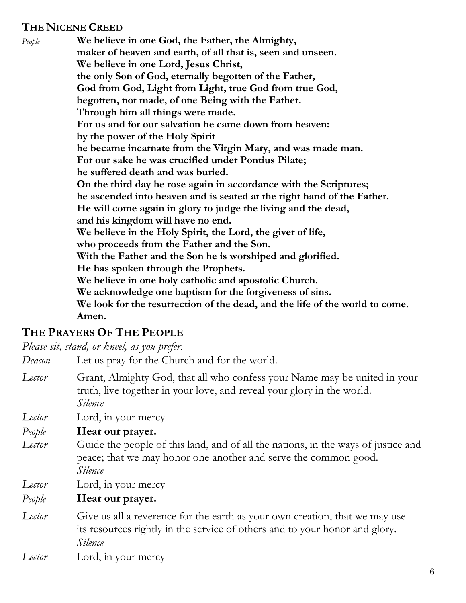#### **THE NICENE CREED**

*People* **We believe in one God, the Father, the Almighty, maker of heaven and earth, of all that is, seen and unseen. We believe in one Lord, Jesus Christ, the only Son of God, eternally begotten of the Father, God from God, Light from Light, true God from true God, begotten, not made, of one Being with the Father. Through him all things were made. For us and for our salvation he came down from heaven: by the power of the Holy Spirit he became incarnate from the Virgin Mary, and was made man. For our sake he was crucified under Pontius Pilate; he suffered death and was buried. On the third day he rose again in accordance with the Scriptures; he ascended into heaven and is seated at the right hand of the Father. He will come again in glory to judge the living and the dead, and his kingdom will have no end. We believe in the Holy Spirit, the Lord, the giver of life, who proceeds from the Father and the Son. With the Father and the Son he is worshiped and glorified. He has spoken through the Prophets. We believe in one holy catholic and apostolic Church. We acknowledge one baptism for the forgiveness of sins. We look for the resurrection of the dead, and the life of the world to come. Amen.**

# **THE PRAYERS OF THE PEOPLE**

*Please sit, stand, or kneel, as you prefer.*

- *Deacon* Let us pray for the Church and for the world.
- *Lector* Grant, Almighty God, that all who confess your Name may be united in your truth, live together in your love, and reveal your glory in the world. *Silence*
- *Lector* Lord, in your mercy
- *People* **Hear our prayer.**
- *Lector* Guide the people of this land, and of all the nations, in the ways of justice and peace; that we may honor one another and serve the common good. *Silence*
- *Lector* Lord, in your mercy
- *People* **Hear our prayer.**
- *Lector* Give us all a reverence for the earth as your own creation, that we may use its resources rightly in the service of others and to your honor and glory. *Silence*
- *Lector* Lord, in your mercy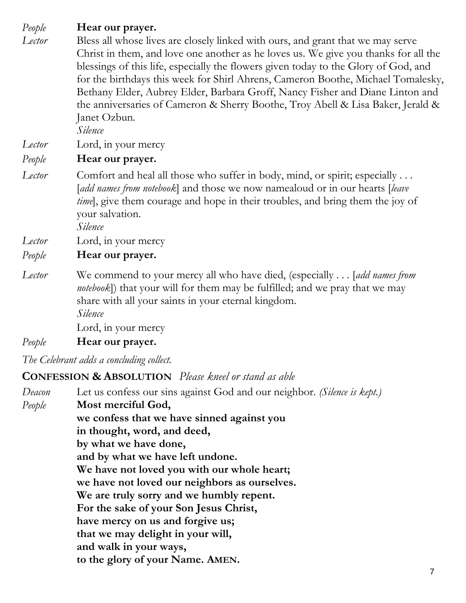## *People* **Hear our prayer.**

*Lector* Bless all whose lives are closely linked with ours, and grant that we may serve Christ in them, and love one another as he loves us. We give you thanks for all the blessings of this life, especially the flowers given today to the Glory of God, and for the birthdays this week for Shirl Ahrens, Cameron Boothe, Michael Tomalesky, Bethany Elder, Aubrey Elder, Barbara Groff, Nancy Fisher and Diane Linton and the anniversaries of Cameron & Sherry Boothe, Troy Abell & Lisa Baker, Jerald & Janet Ozbun*.*

*Silence*

*Lector* Lord, in your mercy

*People* **Hear our prayer.**

*Lector* Comfort and heal all those who suffer in body, mind, or spirit; especially ... [*add names from notebook*] and those we now namealoud or in our hearts [*leave time*, give them courage and hope in their troubles, and bring them the joy of your salvation.

*Silence*

*Lector* Lord, in your mercy

- *People* **Hear our prayer.**
- *Lector* We commend to your mercy all who have died, (especially . . . [*add names from notebook*]) that your will for them may be fulfilled; and we pray that we may share with all your saints in your eternal kingdom. *Silence* Lord, in your mercy
- *People* **Hear our prayer.**

*The Celebrant adds a concluding collect.* 

### **CONFESSION & ABSOLUTION** *Please kneel or stand as able*

*Deacon* Let us confess our sins against God and our neighbor. *(Silence is kept.) People* **Most merciful God, we confess that we have sinned against you in thought, word, and deed, by what we have done, and by what we have left undone. We have not loved you with our whole heart; we have not loved our neighbors as ourselves. We are truly sorry and we humbly repent. For the sake of your Son Jesus Christ, have mercy on us and forgive us; that we may delight in your will, and walk in your ways, to the glory of your Name. AMEN.**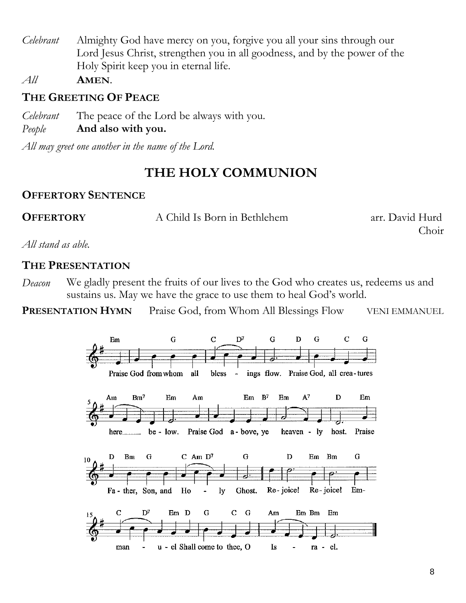*Celebrant* Almighty God have mercy on you, forgive you all your sins through our Lord Jesus Christ, strengthen you in all goodness, and by the power of the Holy Spirit keep you in eternal life.

*All* **AMEN**.

# **THE GREETING OF PEACE**

*Celebrant* The peace of the Lord be always with you.

*People* **And also with you.**

*All may greet one another in the name of the Lord.*

# **THE HOLY COMMUNION**

#### **OFFERTORY SENTENCE**

| <b>OFFERTORY</b> | A Child Is Born in Bethlehem | arr. David Hurd |
|------------------|------------------------------|-----------------|
|                  |                              | Choir           |

*All stand as able.*

#### **THE PRESENTATION**

*Deacon* We gladly present the fruits of our lives to the God who creates us, redeems us and sustains us. May we have the grace to use them to heal God's world.

**PRESENTATION HYMN** Praise God, from Whom All Blessings Flow VENI EMMANUEL

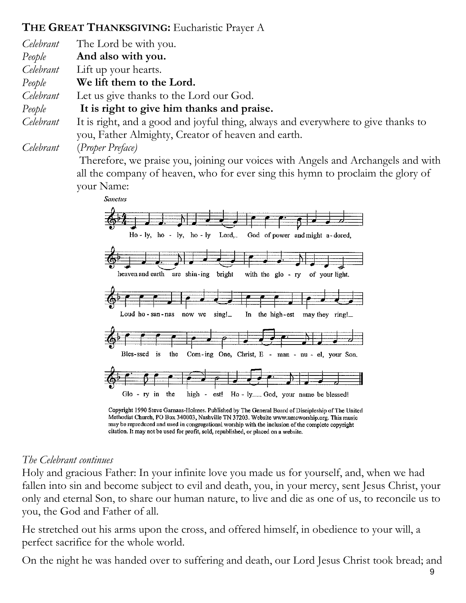# **THE GREAT THANKSGIVING:** Eucharistic Prayer A

| Celebrant | The Lord be with you.                           |
|-----------|-------------------------------------------------|
| People    | And also with you.                              |
| Celebrant | Lift up your hearts.                            |
| People    | We lift them to the Lord.                       |
| Celebrant | Let us give thanks to the Lord our God.         |
| People    | It is right to give him thanks and praise.      |
| Celebrant | It is right, and a good and joyful thing, alway |

rays and everywhere to give thanks to you, Father Almighty, Creator of heaven and earth.

*Celebrant* (*Proper Preface)*

Therefore, we praise you, joining our voices with Angels and Archangels and with all the company of heaven, who for ever sing this hymn to proclaim the glory of your Name:



Copyright 1990 Steve Garnaas-Holmes. Published by The General Board of Discipleship of The United Methodist Church, PO Box 340003, Nashville TN 37203. Website www.umcworship.org. This music may be reproduced and used in congregational worship with the inclusion of the complete copyright citation. It may not be used for profit, sold, republished, or placed on a website.

### *The Celebrant continues*

Holy and gracious Father: In your infinite love you made us for yourself, and, when we had fallen into sin and become subject to evil and death, you, in your mercy, sent Jesus Christ, your only and eternal Son, to share our human nature, to live and die as one of us, to reconcile us to you, the God and Father of all.

He stretched out his arms upon the cross, and offered himself, in obedience to your will, a perfect sacrifice for the whole world.

On the night he was handed over to suffering and death, our Lord Jesus Christ took bread; and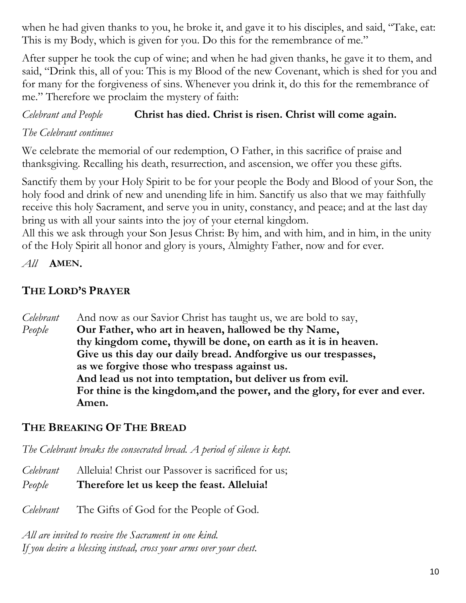when he had given thanks to you, he broke it, and gave it to his disciples, and said, "Take, eat: This is my Body, which is given for you. Do this for the remembrance of me."

After supper he took the cup of wine; and when he had given thanks, he gave it to them, and said, "Drink this, all of you: This is my Blood of the new Covenant, which is shed for you and for many for the forgiveness of sins. Whenever you drink it, do this for the remembrance of me." Therefore we proclaim the mystery of faith:

# *Celebrant and People* **Christ has died. Christ is risen. Christ will come again.**

## *The Celebrant continues*

We celebrate the memorial of our redemption, O Father, in this sacrifice of praise and thanksgiving. Recalling his death, resurrection, and ascension, we offer you these gifts.

Sanctify them by your Holy Spirit to be for your people the Body and Blood of your Son, the holy food and drink of new and unending life in him. Sanctify us also that we may faithfully receive this holy Sacrament, and serve you in unity, constancy, and peace; and at the last day bring us with all your saints into the joy of your eternal kingdom.

All this we ask through your Son Jesus Christ: By him, and with him, and in him, in the unity of the Holy Spirit all honor and glory is yours, Almighty Father, now and for ever.

*All* **AMEN.**

# **THE LORD'S PRAYER**

*Celebrant* And now as our Savior Christ has taught us, we are bold to say, *People* **Our Father, who art in heaven, hallowed be thy Name, thy kingdom come, thywill be done, on earth as it is in heaven. Give us this day our daily bread. Andforgive us our trespasses, as we forgive those who trespass against us. And lead us not into temptation, but deliver us from evil. For thine is the kingdom,and the power, and the glory, for ever and ever. Amen.**

### **THE BREAKING OF THE BREAD**

*The Celebrant breaks the consecrated bread. A period of silence is kept.*

*Celebrant* Alleluia! Christ our Passover is sacrificed for us;

*People* **Therefore let us keep the feast. Alleluia!**

*Celebrant* The Gifts of God for the People of God.

*All are invited to receive the Sacrament in one kind. If you desire a blessing instead, cross your arms over your chest.*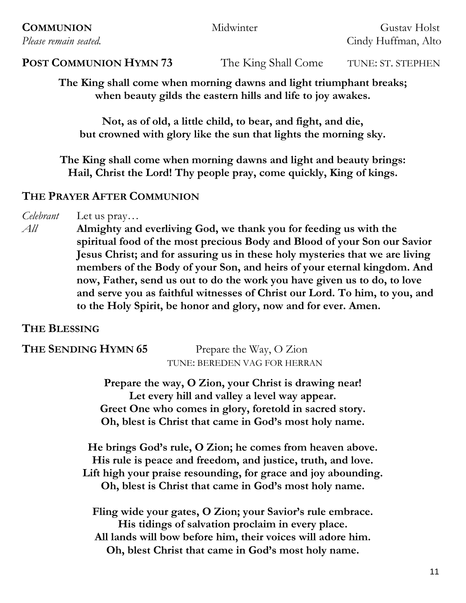| <b>COMMUNION</b>      | Midwint |
|-----------------------|---------|
| Please remain seated. |         |

**COMMUNION** Midwinter Gustav Holst *Please remain seated.* Cindy Huffman, Alto

#### **POST COMMUNION HYMN 73** The King Shall Come TUNE: ST. STEPHEN

**The King shall come when morning dawns and light triumphant breaks; when beauty gilds the eastern hills and life to joy awakes.**

**Not, as of old, a little child, to bear, and fight, and die, but crowned with glory like the sun that lights the morning sky.**

**The King shall come when morning dawns and light and beauty brings: Hail, Christ the Lord! Thy people pray, come quickly, King of kings.**

#### **THE PRAYER AFTER COMMUNION**

*Celebrant* Let us pray… *All* **Almighty and everliving God, we thank you for feeding us with the spiritual food of the most precious Body and Blood of your Son our Savior Jesus Christ; and for assuring us in these holy mysteries that we are living members of the Body of your Son, and heirs of your eternal kingdom. And now, Father, send us out to do the work you have given us to do, to love and serve you as faithful witnesses of Christ our Lord. To him, to you, and to the Holy Spirit, be honor and glory, now and for ever. Amen.**

#### **THE BLESSING**

**THE SENDING HYMN 65** Prepare the Way, O Zion TUNE: BEREDEN VAG FOR HERRAN

> **Prepare the way, O Zion, your Christ is drawing near! Let every hill and valley a level way appear. Greet One who comes in glory, foretold in sacred story. Oh, blest is Christ that came in God's most holy name.**

**He brings God's rule, O Zion; he comes from heaven above. His rule is peace and freedom, and justice, truth, and love. Lift high your praise resounding, for grace and joy abounding. Oh, blest is Christ that came in God's most holy name.**

**Fling wide your gates, O Zion; your Savior's rule embrace. His tidings of salvation proclaim in every place. All lands will bow before him, their voices will adore him. Oh, blest Christ that came in God's most holy name.**